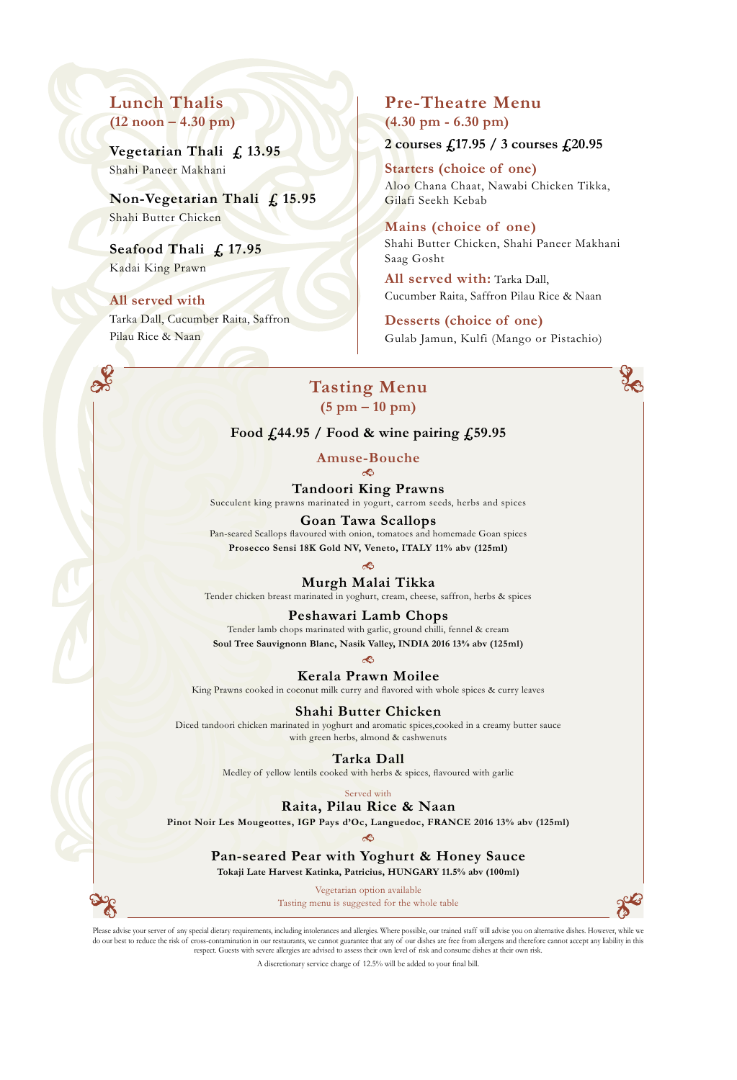## **Lunch Thalis (12 noon – 4.30 pm)**

**Vegetarian Thali £ 13.95** Shahi Paneer Makhani

**Non-Vegetarian Thali £ 15.95** Shahi Butter Chicken

**Seafood Thali £ 17.95** Kadai King Prawn

### **All served with**

Tarka Dall, Cucumber Raita, Saffron Pilau Rice & Naan

## **Pre-Theatre Menu (4.30 pm - 6.30 pm)**

**2 courses £17.95 / 3 courses £20.95**

**Starters (choice of one)** Aloo Chana Chaat, Nawabi Chicken Tikka, Gilafi Seekh Kebab

**Mains (choice of one)** Shahi Butter Chicken, Shahi Paneer Makhani Saag Gosht

**All served with:** Tarka Dall, Cucumber Raita, Saffron Pilau Rice & Naan

**Desserts (choice of one)** Gulab Jamun, Kulfi (Mango or Pistachio)

### **Tasting Menu (5 pm – 10 pm)**

**Food £44.95 / Food & wine pairing £59.95**

**Amuse-Bouche**

**Tandoori King Prawns** Succulent king prawns marinated in yogurt, carrom seeds, herbs and spices

**Goan Tawa Scallops** Pan-seared Scallops flavoured with onion, tomatoes and homemade Goan spices **Prosecco Sensi 18K Gold NV, Veneto, ITALY 11% abv (125ml)**

**Murgh Malai Tikka**

Tender chicken breast marinated in yoghurt, cream, cheese, saffron, herbs & spices

### **Peshawari Lamb Chops**

Tender lamb chops marinated with garlic, ground chilli, fennel & cream **Soul Tree Sauvignonn Blanc, Nasik Valley, INDIA 2016 13% abv (125ml)**

ක

**Kerala Prawn Moilee** King Prawns cooked in coconut milk curry and flavored with whole spices & curry leaves

**Shahi Butter Chicken**

Diced tandoori chicken marinated in yoghurt and aromatic spices,cooked in a creamy butter sauce with green herbs, almond & cashwenuts

**Tarka Dall**

Medley of yellow lentils cooked with herbs & spices, flavoured with garlic

### Served with

**Raita, Pilau Rice & Naan**

**Pinot Noir Les Mougeottes, IGP Pays d'Oc, Languedoc, FRANCE 2016 13% abv (125ml)**

ಿದಿ

**Pan-seared Pear with Yoghurt & Honey Sauce Tokaji Late Harvest Katinka, Patricius, HUNGARY 11.5% abv (100ml)**

Vegetarian option available

Tasting menu is suggested for the whole table



Please advise your server of any special dietary requirements, including intolerances and allergies. Where possible, our trained staff will advise you on alternative dishes. However, while we do our best to reduce the risk of cross-contamination in our restaurants, we cannot guarantee that any of our dishes are free from allergens and therefore cannot accept any liability in this respect. Guests with severe allergies are advised to assess their own level of risk and consume dishes at their own risk.

A discretionary service charge of 12.5% will be added to your final bill.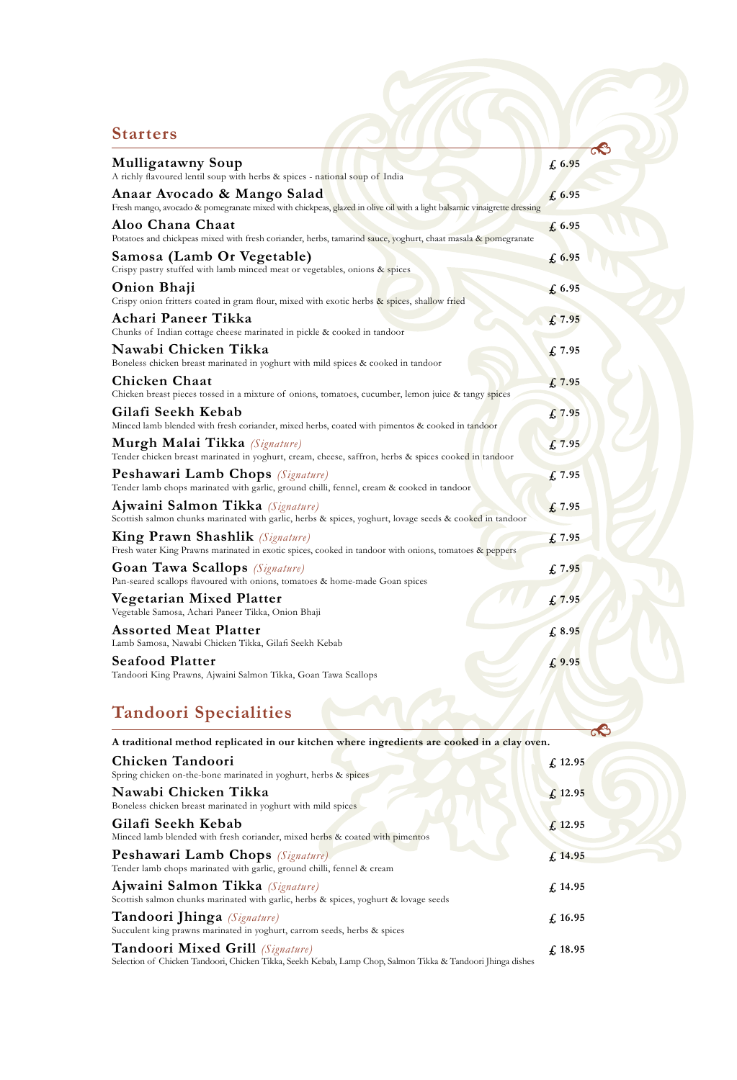## **Starters**

| <b>Mulligatawny Soup</b><br>A richly flavoured lentil soup with herbs & spices - national soup of India                                                | £6.95            |
|--------------------------------------------------------------------------------------------------------------------------------------------------------|------------------|
| Anaar Avocado & Mango Salad<br>Fresh mango, avocado & pomegranate mixed with chickpeas, glazed in olive oil with a light balsamic vinaigrette dressing | £6.95            |
| Aloo Chana Chaat<br>Potatoes and chickpeas mixed with fresh coriander, herbs, tamarind sauce, yoghurt, chaat masala & pomegranate                      | £6.95            |
| Samosa (Lamb Or Vegetable)<br>Crispy pastry stuffed with lamb minced meat or vegetables, onions & spices                                               | £6.95            |
| Onion Bhaji<br>Crispy onion fritters coated in gram flour, mixed with exotic herbs & spices, shallow fried                                             | $f_{\rm s}$ 6.95 |
| Achari Paneer Tikka<br>Chunks of Indian cottage cheese marinated in pickle & cooked in tandoor                                                         | £7.95            |
| Nawabi Chicken Tikka<br>Boneless chicken breast marinated in yoghurt with mild spices & cooked in tandoor                                              | $f_{\rm s}$ 7.95 |
| <b>Chicken Chaat</b><br>Chicken breast pieces tossed in a mixture of onions, tomatoes, cucumber, lemon juice & tangy spices                            | $f_{\rm s}$ 7.95 |
| Gilafi Seekh Kebab<br>Minced lamb blended with fresh coriander, mixed herbs, coated with pimentos & cooked in tandoor                                  | £7.95            |
| <b>Murgh Malai Tikka</b> (Signature)<br>Tender chicken breast marinated in yoghurt, cream, cheese, saffron, herbs & spices cooked in tandoor           | f, 7.95          |
| <b>Peshawari Lamb Chops</b> (Signature)<br>Tender lamb chops marinated with garlic, ground chilli, fennel, cream & cooked in tandoor                   | $f_{\rm s}$ 7.95 |
| Ajwaini Salmon Tikka (Signature)<br>Scottish salmon chunks marinated with garlic, herbs & spices, yoghurt, lovage seeds & cooked in tandoor            | $f_{\rm s}$ 7.95 |
| <b>King Prawn Shashlik</b> (Signature)<br>Fresh water King Prawns marinated in exotic spices, cooked in tandoor with onions, tomatoes & peppers        | $f_{\rm s}$ 7.95 |
| <b>Goan Tawa Scallops</b> (Signature)<br>Pan-seared scallops flavoured with onions, tomatoes & home-made Goan spices                                   | £7.95            |
| Vegetarian Mixed Platter<br>Vegetable Samosa, Achari Paneer Tikka, Onion Bhaji                                                                         | £7.95            |
| <b>Assorted Meat Platter</b><br>Lamb Samosa, Nawabi Chicken Tikka, Gilafi Seekh Kebab                                                                  | £ 8.95           |
| <b>Seafood Platter</b><br>Tandoori King Prawns, Ajwaini Salmon Tikka, Goan Tawa Scallops                                                               | £9.95            |
|                                                                                                                                                        |                  |

ြ

# **Tandoori Specialities**

| A traditional method replicated in our kitchen where ingredients are cooked in a clay oven.                                                            | $\sim$             |
|--------------------------------------------------------------------------------------------------------------------------------------------------------|--------------------|
| Chicken Tandoori<br>Spring chicken on-the-bone marinated in yoghurt, herbs & spices                                                                    | f, 12.95           |
| Nawabi Chicken Tikka<br>Boneless chicken breast marinated in yoghurt with mild spices                                                                  | f <sub>12.95</sub> |
| Gilafi Seekh Kebab<br>Minced lamb blended with fresh coriander, mixed herbs & coated with pimentos                                                     | f <sub>12.95</sub> |
| <b>Peshawari Lamb Chops</b> (Signature)<br>Tender lamb chops marinated with garlic, ground chilli, fennel & cream                                      | f, 14.95           |
| Ajwaini Salmon Tikka (Signature)<br>Scottish salmon chunks marinated with garlic, herbs & spices, yoghurt & lovage seeds                               | f. 14.95           |
| Tandoori Jhinga (Signature)<br>Succulent king prawns marinated in yoghurt, carrom seeds, herbs & spices                                                | f. 16.95           |
| <b>Tandoori Mixed Grill</b> (Signature)<br>Selection of Chicken Tandoori, Chicken Tikka, Seekh Kebab, Lamp Chop, Salmon Tikka & Tandoori Jhinga dishes | f. 18.95           |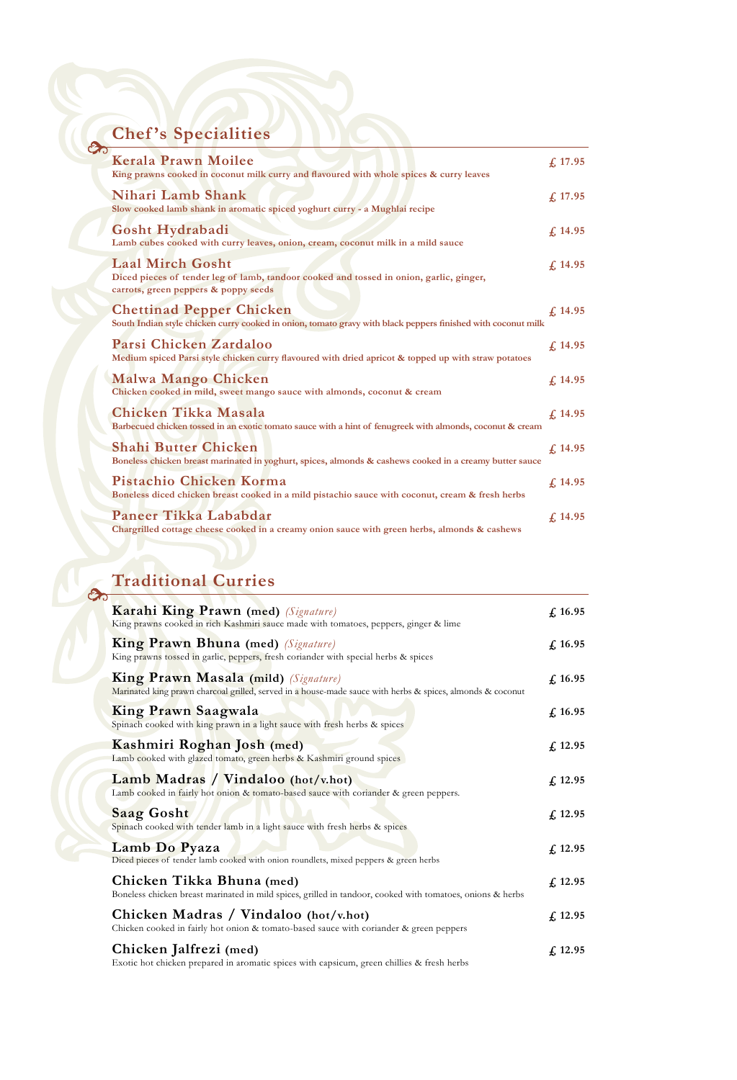# **Chef 's Specialities**

| $\infty$ | <b>Chef's Specialities</b>                                                                                                                                 |            |
|----------|------------------------------------------------------------------------------------------------------------------------------------------------------------|------------|
|          | <b>Kerala Prawn Moilee</b><br>King prawns cooked in coconut milk curry and flavoured with whole spices & curry leaves                                      | f. 17.95   |
|          | Nihari Lamb Shank<br>Slow cooked lamb shank in aromatic spiced yoghurt curry - a Mughlai recipe                                                            | £17.95     |
|          | Gosht Hydrabadi<br>Lamb cubes cooked with curry leaves, onion, cream, coconut milk in a mild sauce                                                         | £14.95     |
|          | <b>Laal Mirch Gosht</b><br>Diced pieces of tender leg of lamb, tandoor cooked and tossed in onion, garlic, ginger,<br>carrots, green peppers & poppy seeds | £14.95     |
|          | <b>Chettinad Pepper Chicken</b><br>South Indian style chicken curry cooked in onion, tomato gravy with black peppers finished with coconut milk            | £14.95     |
|          | Parsi Chicken Zardaloo<br>Medium spiced Parsi style chicken curry flavoured with dried apricot & topped up with straw potatoes                             | f. 14.95   |
|          | Malwa Mango Chicken<br>Chicken cooked in mild, sweet mango sauce with almonds, coconut & cream                                                             | f, 14.95   |
|          | Chicken Tikka Masala<br>Barbecued chicken tossed in an exotic tomato sauce with a hint of fenugreek with almonds, coconut & cream                          | £14.95     |
|          | <b>Shahi Butter Chicken</b><br>Boneless chicken breast marinated in yoghurt, spices, almonds & cashews cooked in a creamy butter sauce                     | f. 14.95   |
|          | Pistachio Chicken Korma<br>Boneless diced chicken breast cooked in a mild pistachio sauce with coconut, cream & fresh herbs                                | $fs$ 14.95 |
|          | Paneer Tikka Lababdar<br>Chargrilled cottage cheese cooked in a creamy onion sauce with green herbs, almonds & cashews                                     | f. 14.95   |

## **Traditional Curries**

 $\delta$ 

| Karahi King Prawn (med) (Signature)<br>King prawns cooked in rich Kashmiri sauce made with tomatoes, peppers, ginger & lime                        | f, 16.95     |
|----------------------------------------------------------------------------------------------------------------------------------------------------|--------------|
| <b>King Prawn Bhuna (med)</b> (Signature)<br>King prawns tossed in garlic, peppers, fresh coriander with special herbs & spices                    | £16.95       |
| King Prawn Masala (mild) (Signature)<br>Marinated king prawn charcoal grilled, served in a house-made sauce with herbs & spices, almonds & coconut | f, 16.95     |
| King Prawn Saagwala<br>Spinach cooked with king prawn in a light sauce with fresh herbs & spices                                                   | f, 16.95     |
| Kashmiri Roghan Josh (med)<br>Lamb cooked with glazed tomato, green herbs & Kashmiri ground spices                                                 | £12.95       |
| Lamb Madras / Vindaloo (hot/v.hot)<br>Lamb cooked in fairly hot onion & tomato-based sauce with coriander & green peppers.                         | £12.95       |
| <b>Saag Gosht</b><br>Spinach cooked with tender lamb in a light sauce with fresh herbs & spices                                                    | $fs$ 12.95   |
| Lamb Do Pyaza<br>Diced pieces of tender lamb cooked with onion roundlets, mixed peppers & green herbs                                              | $fs$ 12.95   |
| Chicken Tikka Bhuna (med)<br>Boneless chicken breast marinated in mild spices, grilled in tandoor, cooked with tomatoes, onions & herbs            | $f1$ , 12.95 |
| Chicken Madras / Vindaloo (hot/v.hot)<br>Chicken cooked in fairly hot onion & tomato-based sauce with coriander & green peppers                    | $fs$ 12.95   |
| Chicken Jalfrezi (med)<br>Exotic hot chicken prepared in aromatic spices with capsicum, green chillies & fresh herbs                               | $f1$ , 12.95 |